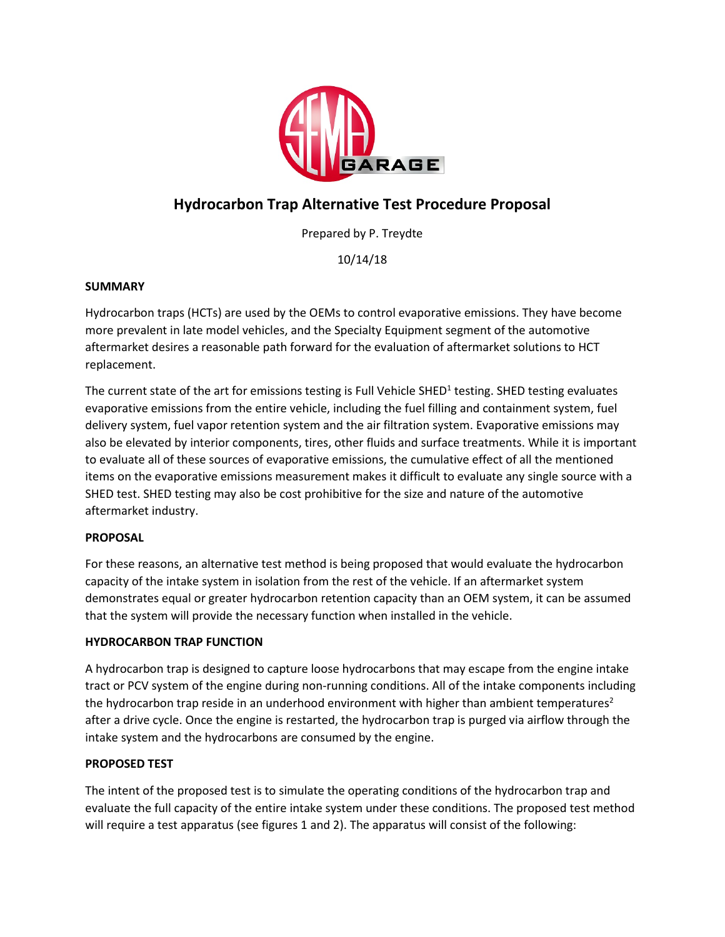

# **Hydrocarbon Trap Alternative Test Procedure Proposal**

Prepared by P. Treydte

10/14/18

#### **SUMMARY**

Hydrocarbon traps (HCTs) are used by the OEMs to control evaporative emissions. They have become more prevalent in late model vehicles, and the Specialty Equipment segment of the automotive aftermarket desires a reasonable path forward for the evaluation of aftermarket solutions to HCT replacement.

The current state of the art for emissions testing is Full Vehicle SHED<sup>1</sup> testing. SHED testing evaluates evaporative emissions from the entire vehicle, including the fuel filling and containment system, fuel delivery system, fuel vapor retention system and the air filtration system. Evaporative emissions may also be elevated by interior components, tires, other fluids and surface treatments. While it is important to evaluate all of these sources of evaporative emissions, the cumulative effect of all the mentioned items on the evaporative emissions measurement makes it difficult to evaluate any single source with a SHED test. SHED testing may also be cost prohibitive for the size and nature of the automotive aftermarket industry.

#### **PROPOSAL**

For these reasons, an alternative test method is being proposed that would evaluate the hydrocarbon capacity of the intake system in isolation from the rest of the vehicle. If an aftermarket system demonstrates equal or greater hydrocarbon retention capacity than an OEM system, it can be assumed that the system will provide the necessary function when installed in the vehicle.

#### **HYDROCARBON TRAP FUNCTION**

A hydrocarbon trap is designed to capture loose hydrocarbons that may escape from the engine intake tract or PCV system of the engine during non-running conditions. All of the intake components including the hydrocarbon trap reside in an underhood environment with higher than ambient temperatures<sup>2</sup> after a drive cycle. Once the engine is restarted, the hydrocarbon trap is purged via airflow through the intake system and the hydrocarbons are consumed by the engine.

#### **PROPOSED TEST**

The intent of the proposed test is to simulate the operating conditions of the hydrocarbon trap and evaluate the full capacity of the entire intake system under these conditions. The proposed test method will require a test apparatus (see figures 1 and 2). The apparatus will consist of the following: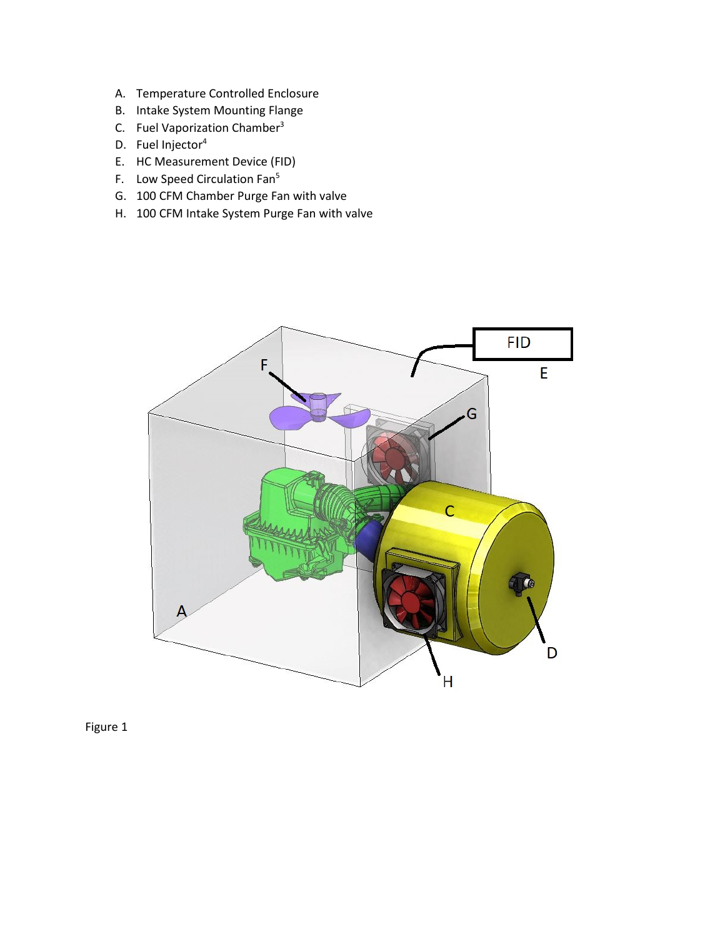- A. Temperature Controlled Enclosure
- B. Intake System Mounting Flange
- C. Fuel Vaporization Chamber3
- D. Fuel Injector<sup>4</sup>
- E. HC Measurement Device (FID)
- F. Low Speed Circulation Fan<sup>5</sup>
- G. 100 CFM Chamber Purge Fan with valve
- H. 100 CFM Intake System Purge Fan with valve



Figure 1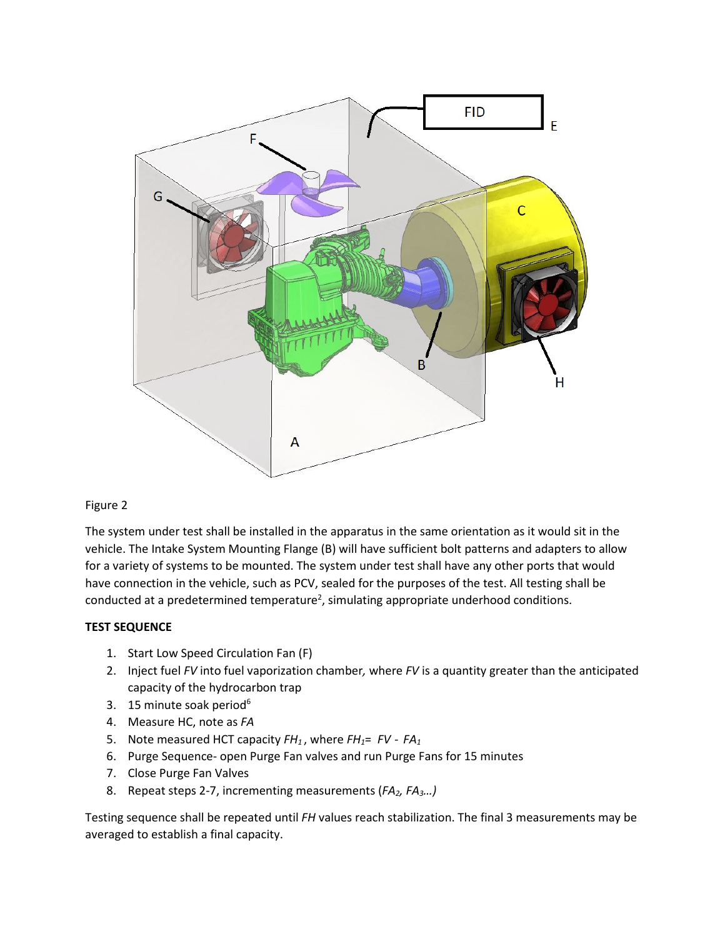

#### Figure 2

The system under test shall be installed in the apparatus in the same orientation as it would sit in the vehicle. The Intake System Mounting Flange (B) will have sufficient bolt patterns and adapters to allow for a variety of systems to be mounted. The system under test shall have any other ports that would have connection in the vehicle, such as PCV, sealed for the purposes of the test. All testing shall be conducted at a predetermined temperature<sup>2</sup>, simulating appropriate underhood conditions.

#### **TEST SEQUENCE**

- 1. Start Low Speed Circulation Fan (F)
- 2. Inject fuel *FV* into fuel vaporization chamber*,* where *FV* is a quantity greater than the anticipated capacity of the hydrocarbon trap
- 3. 15 minute soak period<sup>6</sup>
- 4. Measure HC, note as *FA*
- 5. Note measured HCT capacity *FH1* , where *FH1*= *FV - FA1*
- 6. Purge Sequence- open Purge Fan valves and run Purge Fans for 15 minutes
- 7. Close Purge Fan Valves
- 8. Repeat steps 2-7, incrementing measurements (*FA2, FA3…)*

Testing sequence shall be repeated until *FH* values reach stabilization. The final 3 measurements may be averaged to establish a final capacity.